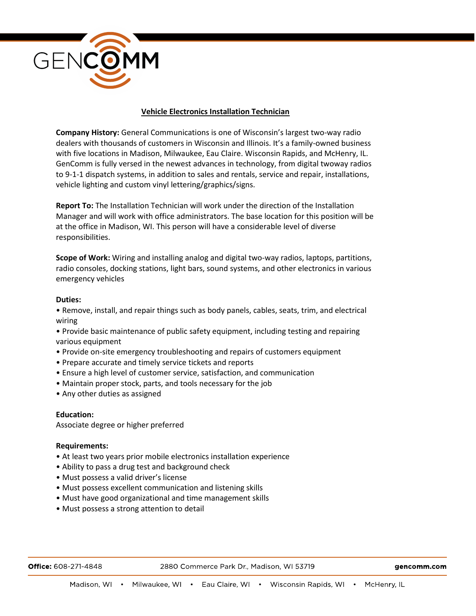

## **Vehicle Electronics Installation Technician**

**Company History:** General Communications is one of Wisconsin's largest two-way radio dealers with thousands of customers in Wisconsin and Illinois. It's a family-owned business with five locations in Madison, Milwaukee, Eau Claire. Wisconsin Rapids, and McHenry, IL. GenComm is fully versed in the newest advances in technology, from digital twoway radios to 9-1-1 dispatch systems, in addition to sales and rentals, service and repair, installations, vehicle lighting and custom vinyl lettering/graphics/signs.

**Report To:** The Installation Technician will work under the direction of the Installation Manager and will work with office administrators. The base location for this position will be at the office in Madison, WI. This person will have a considerable level of diverse responsibilities.

**Scope of Work:** Wiring and installing analog and digital two-way radios, laptops, partitions, radio consoles, docking stations, light bars, sound systems, and other electronics in various emergency vehicles

## **Duties:**

• Remove, install, and repair things such as body panels, cables, seats, trim, and electrical wiring

• Provide basic maintenance of public safety equipment, including testing and repairing various equipment

- Provide on-site emergency troubleshooting and repairs of customers equipment
- Prepare accurate and timely service tickets and reports
- Ensure a high level of customer service, satisfaction, and communication
- Maintain proper stock, parts, and tools necessary for the job
- Any other duties as assigned

## **Education:**

Associate degree or higher preferred

## **Requirements:**

- At least two years prior mobile electronics installation experience
- Ability to pass a drug test and background check
- Must possess a valid driver's license
- Must possess excellent communication and listening skills
- Must have good organizational and time management skills
- Must possess a strong attention to detail